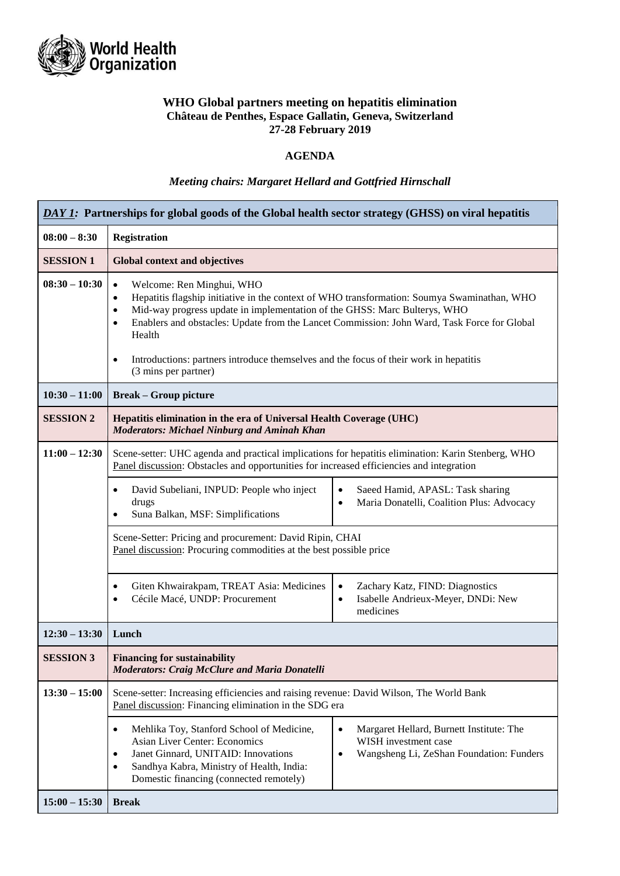

# **WHO Global partners meeting on hepatitis elimination Château de Penthes, Espace Gallatin, Geneva, Switzerland 27-28 February 2019**

# **AGENDA**

# *Meeting chairs: Margaret Hellard and Gottfried Hirnschall*

| DAY 1: Partnerships for global goods of the Global health sector strategy (GHSS) on viral hepatitis |                                                                                                                                                                                                                                                                                                                                                                                                                                                                                                  |  |  |
|-----------------------------------------------------------------------------------------------------|--------------------------------------------------------------------------------------------------------------------------------------------------------------------------------------------------------------------------------------------------------------------------------------------------------------------------------------------------------------------------------------------------------------------------------------------------------------------------------------------------|--|--|
| $08:00 - 8:30$                                                                                      | <b>Registration</b>                                                                                                                                                                                                                                                                                                                                                                                                                                                                              |  |  |
| <b>SESSION 1</b>                                                                                    | <b>Global context and objectives</b>                                                                                                                                                                                                                                                                                                                                                                                                                                                             |  |  |
| $08:30 - 10:30$                                                                                     | Welcome: Ren Minghui, WHO<br>$\bullet$<br>Hepatitis flagship initiative in the context of WHO transformation: Soumya Swaminathan, WHO<br>$\bullet$<br>Mid-way progress update in implementation of the GHSS: Marc Bulterys, WHO<br>$\bullet$<br>Enablers and obstacles: Update from the Lancet Commission: John Ward, Task Force for Global<br>$\bullet$<br>Health<br>Introductions: partners introduce themselves and the focus of their work in hepatitis<br>$\bullet$<br>(3 mins per partner) |  |  |
| $10:30 - 11:00$                                                                                     | <b>Break – Group picture</b>                                                                                                                                                                                                                                                                                                                                                                                                                                                                     |  |  |
| <b>SESSION 2</b>                                                                                    | Hepatitis elimination in the era of Universal Health Coverage (UHC)<br><b>Moderators: Michael Ninburg and Aminah Khan</b>                                                                                                                                                                                                                                                                                                                                                                        |  |  |
| $11:00 - 12:30$                                                                                     | Scene-setter: UHC agenda and practical implications for hepatitis elimination: Karin Stenberg, WHO<br>Panel discussion: Obstacles and opportunities for increased efficiencies and integration                                                                                                                                                                                                                                                                                                   |  |  |
|                                                                                                     | David Subeliani, INPUD: People who inject<br>Saeed Hamid, APASL: Task sharing<br>$\bullet$<br>٠<br>Maria Donatelli, Coalition Plus: Advocacy<br>drugs<br>$\bullet$<br>Suna Balkan, MSF: Simplifications                                                                                                                                                                                                                                                                                          |  |  |
|                                                                                                     | Scene-Setter: Pricing and procurement: David Ripin, CHAI<br>Panel discussion: Procuring commodities at the best possible price                                                                                                                                                                                                                                                                                                                                                                   |  |  |
|                                                                                                     | Giten Khwairakpam, TREAT Asia: Medicines<br>Zachary Katz, FIND: Diagnostics<br>$\bullet$<br>٠<br>Cécile Macé, UNDP: Procurement<br>Isabelle Andrieux-Meyer, DNDi: New<br>$\bullet$<br>$\bullet$<br>medicines                                                                                                                                                                                                                                                                                     |  |  |
| $12:30 - 13:30$                                                                                     | Lunch                                                                                                                                                                                                                                                                                                                                                                                                                                                                                            |  |  |
| <b>SESSION 3</b>                                                                                    | <b>Financing for sustainability</b><br><b>Moderators: Craig McClure and Maria Donatelli</b>                                                                                                                                                                                                                                                                                                                                                                                                      |  |  |
| $13:30 - 15:00$                                                                                     | Scene-setter: Increasing efficiencies and raising revenue: David Wilson, The World Bank<br>Panel discussion: Financing elimination in the SDG era                                                                                                                                                                                                                                                                                                                                                |  |  |
|                                                                                                     | Mehlika Toy, Stanford School of Medicine,<br>Margaret Hellard, Burnett Institute: The<br>$\bullet$<br>٠<br><b>Asian Liver Center: Economics</b><br>WISH investment case<br>Janet Ginnard, UNITAID: Innovations<br>Wangsheng Li, ZeShan Foundation: Funders<br>$\bullet$<br>$\bullet$<br>Sandhya Kabra, Ministry of Health, India:<br>$\bullet$<br>Domestic financing (connected remotely)                                                                                                        |  |  |
| $15:00 - 15:30$                                                                                     | <b>Break</b>                                                                                                                                                                                                                                                                                                                                                                                                                                                                                     |  |  |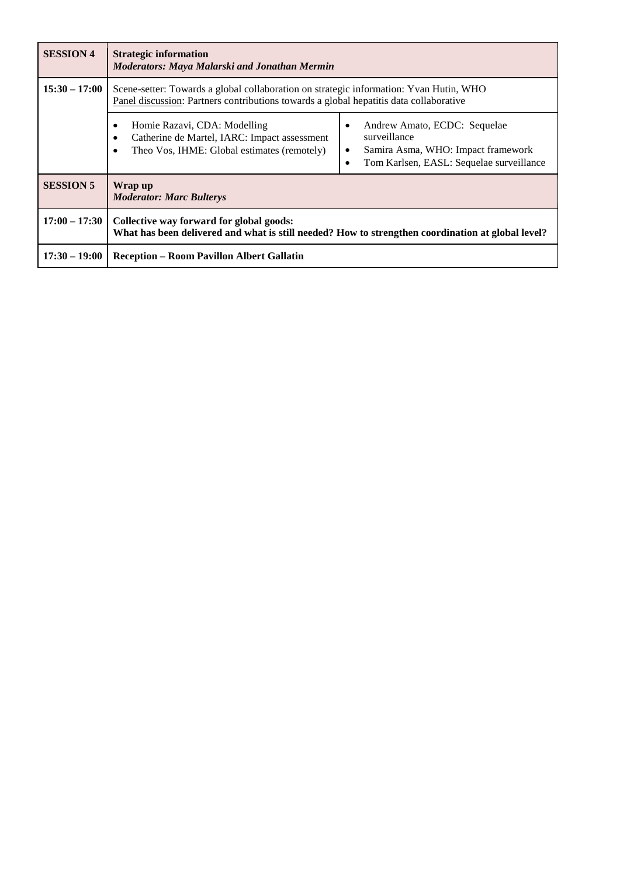| <b>SESSION 4</b> | <b>Strategic information</b><br>Moderators: Maya Malarski and Jonathan Mermin                                                                                                    |                                                                                                                                                                       |  |
|------------------|----------------------------------------------------------------------------------------------------------------------------------------------------------------------------------|-----------------------------------------------------------------------------------------------------------------------------------------------------------------------|--|
| $15:30 - 17:00$  | Scene-setter: Towards a global collaboration on strategic information: Yvan Hutin, WHO<br>Panel discussion: Partners contributions towards a global hepatitis data collaborative |                                                                                                                                                                       |  |
|                  | Homie Razavi, CDA: Modelling<br>Catherine de Martel, IARC: Impact assessment<br>Theo Vos, IHME: Global estimates (remotely)                                                      | Andrew Amato, ECDC: Sequelae<br>$\bullet$<br>surveillance<br>Samira Asma, WHO: Impact framework<br>$\bullet$<br>Tom Karlsen, EASL: Sequelae surveillance<br>$\bullet$ |  |
| <b>SESSION 5</b> | Wrap up<br><b>Moderator: Marc Bulterys</b>                                                                                                                                       |                                                                                                                                                                       |  |
| $17:00 - 17:30$  | Collective way forward for global goods:<br>What has been delivered and what is still needed? How to strengthen coordination at global level?                                    |                                                                                                                                                                       |  |
| $17:30 - 19:00$  | <b>Reception - Room Pavillon Albert Gallatin</b>                                                                                                                                 |                                                                                                                                                                       |  |